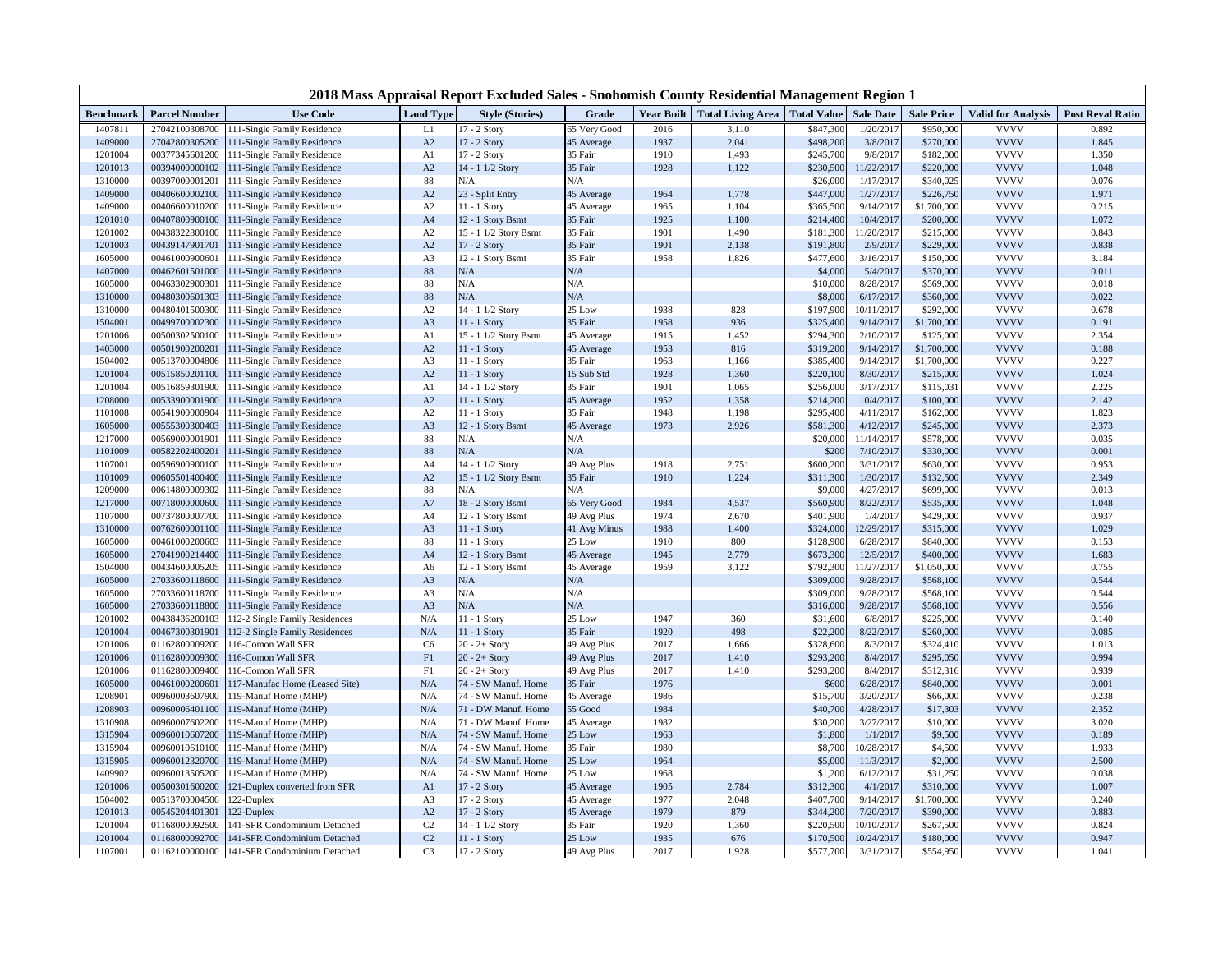| 2018 Mass Appraisal Report Excluded Sales - Snohomish County Residential Management Region 1 |                      |                                             |                  |                        |              |      |                                              |           |                  |                   |                           |                         |
|----------------------------------------------------------------------------------------------|----------------------|---------------------------------------------|------------------|------------------------|--------------|------|----------------------------------------------|-----------|------------------|-------------------|---------------------------|-------------------------|
| Benchmark                                                                                    | <b>Parcel Number</b> | <b>Use Code</b>                             | <b>Land Type</b> | <b>Style (Stories)</b> | Grade        |      | Year Built   Total Living Area   Total Value |           | <b>Sale Date</b> | <b>Sale Price</b> | <b>Valid for Analysis</b> | <b>Post Reval Ratio</b> |
| 1407811                                                                                      |                      | 27042100308700 111-Single Family Residence  | L1               | 17 - 2 Story           | 65 Very Good | 2016 | 3,110                                        | \$847,300 | 1/20/201         | \$950,000         | <b>VVVV</b>               | 0.892                   |
| 1409000                                                                                      | 27042800305200       | 111-Single Family Residence                 | A2               | 17 - 2 Story           | 45 Average   | 1937 | 2,041                                        | \$498,200 | 3/8/2017         | \$270,000         | <b>VVVV</b>               | 1.845                   |
| 1201004                                                                                      | 00377345601200       | 111-Single Family Residence                 | A <sub>1</sub>   | 17 - 2 Story           | 35 Fair      | 1910 | 1,493                                        | \$245,700 | 9/8/201          | \$182,000         | <b>VVVV</b>               | 1.350                   |
| 1201013                                                                                      | 00394000000102       | 111-Single Family Residence                 | A2               | 14 - 1 1/2 Story       | 35 Fair      | 1928 | 1,122                                        | \$230,500 | 11/22/2017       | \$220,000         | <b>VVVV</b>               | 1.048                   |
| 1310000                                                                                      | 00397000001201       | 111-Single Family Residence                 | 88               | N/A                    | N/A          |      |                                              | \$26,000  | 1/17/201         | \$340,025         | <b>VVVV</b>               | 0.076                   |
| 1409000                                                                                      | 00406600002100       | 111-Single Family Residence                 | A2               | 23 - Split Entry       | 45 Average   | 1964 | 1,778                                        | \$447,000 | 1/27/2017        | \$226,750         | <b>VVVV</b>               | 1.971                   |
| 1409000                                                                                      | 00406600010200       | 111-Single Family Residence                 | A2               | 11 - 1 Story           | 45 Average   | 1965 | 1,104                                        | \$365,500 | 9/14/201'        | \$1,700,000       | <b>VVVV</b>               | 0.215                   |
| 1201010                                                                                      | 00407800900100       | 111-Single Family Residence                 | A <sub>4</sub>   | 12 - 1 Story Bsmt      | 35 Fair      | 1925 | 1,100                                        | \$214,400 | 10/4/2017        | \$200,000         | <b>VVVV</b>               | 1.072                   |
| 1201002                                                                                      | 00438322800100       | 111-Single Family Residence                 | A2               | 15 - 1 1/2 Story Bsmt  | 35 Fair      | 1901 | 1,490                                        | \$181,300 | 11/20/201        | \$215,000         | <b>VVVV</b>               | 0.843                   |
| 1201003                                                                                      | 00439147901701       | 111-Single Family Residence                 | A2               | 17 - 2 Story           | 35 Fair      | 1901 | 2,138                                        | \$191,800 | 2/9/2017         | \$229,000         | <b>VVVV</b>               | 0.838                   |
| 1605000                                                                                      | 00461000900601       | 111-Single Family Residence                 | A <sub>3</sub>   | 12 - 1 Story Bsmt      | 35 Fair      | 1958 | 1,826                                        | \$477,600 | 3/16/201'        | \$150,000         | <b>VVVV</b>               | 3.184                   |
| 1407000                                                                                      | 00462601501000       | 111-Single Family Residence                 | 88               | N/A                    | N/A          |      |                                              | \$4,000   | 5/4/2017         | \$370,000         | <b>VVVV</b>               | 0.011                   |
| 1605000                                                                                      | 00463302900301       | 111-Single Family Residence                 | 88               | N/A                    | N/A          |      |                                              | \$10,000  | 8/28/201         | \$569,000         | <b>VVVV</b>               | 0.018                   |
| 1310000                                                                                      | 00480300601303       | 111-Single Family Residence                 | 88               | N/A                    | N/A          |      |                                              | \$8,000   | 6/17/201'        | \$360,000         | <b>VVVV</b>               | 0.022                   |
| 1310000                                                                                      | 00480401500300       | 111-Single Family Residence                 | A2               | 14 - 1 1/2 Story       | 25 Low       | 1938 | 828                                          | \$197,900 | 10/11/201        | \$292,000         | <b>VVVV</b>               | 0.678                   |
| 1504001                                                                                      | 00499700002300       | 111-Single Family Residence                 | A <sub>3</sub>   | 11 - 1 Story           | 35 Fair      | 1958 | 936                                          | \$325,400 | 9/14/201'        | \$1,700,000       | <b>VVVV</b>               | 0.191                   |
| 1201006                                                                                      | 00500302500100       | 111-Single Family Residence                 | A <sub>1</sub>   | 15 - 1 1/2 Story Bsmt  | 45 Average   | 1915 | 1,452                                        | \$294,300 | 2/10/201         | \$125,000         | <b>VVVV</b>               | 2.354                   |
| 1403000                                                                                      | 00501900200201       | 111-Single Family Residence                 | A2               | 11 - 1 Story           | 45 Average   | 1953 | 816                                          | \$319,200 | 9/14/2017        | \$1,700,000       | <b>VVVV</b>               | 0.188                   |
| 1504002                                                                                      | 00513700004806       | 111-Single Family Residence                 | A3               | $1 - 1$ Story          | 35 Fair      | 1963 | 1,166                                        | \$385,400 | 9/14/201         | \$1,700,000       | <b>VVVV</b>               | 0.227                   |
| 1201004                                                                                      | 00515850201100       | 111-Single Family Residence                 | A2               | 11 - 1 Story           | 15 Sub Std   | 1928 | 1,360                                        | \$220,100 | 8/30/201         | \$215,000         | <b>VVVV</b>               | 1.024                   |
| 1201004                                                                                      | 00516859301900       | 111-Single Family Residence                 | A <sub>1</sub>   | 14 - 1 1/2 Story       | 35 Fair      | 1901 | 1,065                                        | \$256,000 | 3/17/201'        | \$115,031         | <b>VVVV</b>               | 2.225                   |
| 1208000                                                                                      | 00533900001900       | 111-Single Family Residence                 | A2               | 11 - 1 Story           | 45 Average   | 1952 | 1,358                                        | \$214,200 | 10/4/201         | \$100,000         | <b>VVVV</b>               | 2.142                   |
| 1101008                                                                                      | 00541900000904       | 111-Single Family Residence                 | A2               | 11 - 1 Story           | 35 Fair      | 1948 | 1,198                                        | \$295,400 | 4/11/201'        | \$162,000         | <b>VVVV</b>               | 1.823                   |
| 1605000                                                                                      | 00555300300403       | 111-Single Family Residence                 | A <sub>3</sub>   | 12 - 1 Story Bsmt      | 45 Average   | 1973 | 2,926                                        | \$581,300 | 4/12/2017        | \$245,000         | <b>VVVV</b>               | 2.373                   |
| 1217000                                                                                      | 00569000001901       | 111-Single Family Residence                 | 88               | N/A                    | N/A          |      |                                              | \$20,000  | 11/14/2017       | \$578,000         | <b>VVVV</b>               | 0.035                   |
| 1101009                                                                                      | 00582202400201       | 111-Single Family Residence                 | 88               | N/A                    | N/A          |      |                                              | \$200     | 7/10/2017        | \$330,000         | <b>VVVV</b>               | 0.001                   |
| 1107001                                                                                      | 00596900900100       | 111-Single Family Residence                 | A <sub>4</sub>   | 14 - 1 1/2 Story       | 49 Avg Plus  | 1918 | 2,751                                        | \$600,200 | 3/31/201'        | \$630,000         | <b>VVVV</b>               | 0.953                   |
| 1101009                                                                                      | 00605501400400       | 111-Single Family Residence                 | A2               | 15 - 1 1/2 Story Bsmt  | 35 Fair      | 1910 | 1,224                                        | \$311,300 | 1/30/2017        | \$132,500         | <b>VVVV</b>               | 2.349                   |
| 1209000                                                                                      | 00614800009302       | 111-Single Family Residence                 | 88               | N/A                    | N/A          |      |                                              | \$9,000   | 4/27/201         | \$699,000         | <b>VVVV</b>               | 0.013                   |
| 1217000                                                                                      | 00718000000600       | 111-Single Family Residence                 | A7               | 18 - 2 Story Bsmt      | 65 Very Good | 1984 | 4,537                                        | \$560,900 | 8/22/201         | \$535,000         | <b>VVVV</b>               | 1.048                   |
| 1107000                                                                                      | 00737800007700       | 111-Single Family Residence                 | A4               | 12 - 1 Story Bsmt      | 49 Avg Plus  | 1974 | 2,670                                        | \$401,900 | 1/4/201          | \$429,000         | <b>VVVV</b>               | 0.937                   |
| 1310000                                                                                      | 00762600001100       | 111-Single Family Residence                 | A <sub>3</sub>   | 11 - 1 Story           | 41 Avg Minus | 1988 | 1,400                                        | \$324,000 | 12/29/201        | \$315,000         | <b>VVVV</b>               | 1.029                   |
| 1605000                                                                                      | 00461000200603       | 111-Single Family Residence                 | 88               | $11 - 1$ Story         | 25 Low       | 1910 | 800                                          | \$128,900 | 6/28/201         | \$840,000         | <b>VVVV</b>               | 0.153                   |
| 1605000                                                                                      | 27041900214400       | 111-Single Family Residence                 | A <sub>4</sub>   | 12 - 1 Story Bsmt      | 45 Average   | 1945 | 2,779                                        | \$673,300 | 12/5/2017        | \$400,000         | <b>VVVV</b>               | 1.683                   |
| 1504000                                                                                      | 00434600005205       | 111-Single Family Residence                 | A6               | 12 - 1 Story Bsmt      | 45 Average   | 1959 | 3,122                                        | \$792,300 | 11/27/201        | \$1,050,000       | <b>VVVV</b>               | 0.755                   |
| 1605000                                                                                      | 27033600118600       | 111-Single Family Residence                 | A <sub>3</sub>   | N/A                    | N/A          |      |                                              | \$309,000 | 9/28/201'        | \$568,100         | <b>VVVV</b>               | 0.544                   |
| 1605000                                                                                      | 27033600118700       | 111-Single Family Residence                 | A3               | N/A                    | N/A          |      |                                              | \$309,000 | 9/28/201         | \$568,100         | <b>VVVV</b>               | 0.544                   |
| 1605000                                                                                      | 27033600118800       | 111-Single Family Residence                 | A <sub>3</sub>   | N/A                    | N/A          |      |                                              | \$316,000 | 9/28/2017        | \$568,100         | <b>VVVV</b>               | 0.556                   |
| 1201002                                                                                      | 00438436200103       | 112-2 Single Family Residences              | N/A              | 11 - 1 Story           | 25 Low       | 1947 | 360                                          | \$31,600  | 6/8/201          | \$225,000         | <b>VVVV</b>               | 0.140                   |
| 1201004                                                                                      | 00467300301901       | 112-2 Single Family Residences              | N/A              | 11 - 1 Story           | 35 Fair      | 1920 | 498                                          | \$22,200  | 8/22/2017        | \$260,000         | <b>VVVV</b>               | 0.085                   |
| 1201006                                                                                      | 01162800009200       | 116-Comon Wall SFR                          | C <sub>6</sub>   | $20 - 2 +$ Story       | 49 Avg Plus  | 2017 | 1,666                                        | \$328,600 | 8/3/201          | \$324,410         | <b>VVVV</b>               | 1.013                   |
| 1201006                                                                                      | 01162800009300       | 116-Comon Wall SFR                          | F1               | $20 - 2 +$ Story       | 49 Avg Plus  | 2017 | 1,410                                        | \$293,200 | 8/4/2017         | \$295,050         | <b>VVVV</b>               | 0.994                   |
| 1201006                                                                                      | 01162800009400       | 116-Comon Wall SFR                          | F1               | $20 - 2 +$ Story       | 49 Avg Plus  | 2017 | 1,410                                        | \$293,200 | 8/4/2017         | \$312,316         | <b>VVVV</b>               | 0.939                   |
| 1605000                                                                                      | 00461000200601       | 117-Manufac Home (Leased Site)              | N/A              | 74 - SW Manuf. Home    | 35 Fair      | 1976 |                                              | \$600     | 6/28/2017        | \$840,000         | <b>VVVV</b>               | 0.001                   |
| 1208901                                                                                      | 00960003607900       | 19-Manuf Home (MHP)                         | N/A              | 74 - SW Manuf, Home    | 45 Average   | 1986 |                                              | \$15,700  | 3/20/201'        | \$66,000          | <b>VVVV</b>               | 0.238                   |
| 1208903                                                                                      | 00960006401100       | 19-Manuf Home (MHP)                         | N/A              | 71 - DW Manuf. Home    | 55 Good      | 1984 |                                              | \$40,700  | 4/28/2017        | \$17,303          | <b>VVVV</b>               | 2.352                   |
| 1310908                                                                                      | 00960007602200       | 19-Manuf Home (MHP)                         | N/A              | 71 - DW Manuf. Home    | 45 Average   | 1982 |                                              | \$30,200  | 3/27/2017        | \$10,000          | <b>VVVV</b>               | 3.020                   |
| 1315904                                                                                      | 00960010607200       | 19-Manuf Home (MHP)                         | N/A              | 74 - SW Manuf. Home    | 25 Low       | 1963 |                                              | \$1,800   | 1/1/201          | \$9,500           | <b>VVVV</b>               | 0.189                   |
| 1315904                                                                                      | 00960010610100       | 19-Manuf Home (MHP)                         | N/A              | 74 - SW Manuf. Home    | 35 Fair      | 1980 |                                              | \$8,700   | 10/28/2017       | \$4,500           | <b>VVVV</b>               | 1.933                   |
| 1315905                                                                                      | 00960012320700       | 19-Manuf Home (MHP)                         | N/A              | 74 - SW Manuf. Home    | 25 Low       | 1964 |                                              | \$5,000   | 11/3/2017        | \$2,000           | <b>VVVV</b>               | 2.500                   |
| 1409902                                                                                      | 00960013505200       | 19-Manuf Home (MHP)                         | N/A              | 74 - SW Manuf. Home    | 25 Low       | 1968 |                                              | \$1,200   | 6/12/2017        | \$31,250          | <b>VVVV</b>               | 0.038                   |
| 1201006                                                                                      | 00500301600200       | 121-Duplex converted from SFR               | A <sub>1</sub>   | 17 - 2 Story           | 45 Average   | 1905 | 2,784                                        | \$312,300 | 4/1/2017         | \$310,000         | <b>VVVV</b>               | 1.007                   |
| 1504002                                                                                      | 00513700004506       | 22-Duplex                                   | A <sub>3</sub>   | 17 - 2 Story           | 45 Average   | 1977 | 2,048                                        | \$407,700 | 9/14/201         | \$1,700,000       | <b>VVVV</b>               | 0.240                   |
| 1201013                                                                                      | 00545204401301       | 122-Duplex                                  | A2               | 17 - 2 Story           | 45 Average   | 1979 | 879                                          | \$344,200 | 7/20/2017        | \$390,000         | <b>VVVV</b>               | 0.883                   |
| 1201004                                                                                      | 01168000092500       | 141-SFR Condominium Detached                | C <sub>2</sub>   | $14 - 1$ 1/2 Story     | 35 Fair      | 1920 | 1,360                                        | \$220,500 | 10/10/201        | \$267,500         | <b>VVVV</b>               | 0.824                   |
| 1201004                                                                                      | 01168000092700       | 141-SFR Condominium Detached                | C <sub>2</sub>   | 11 - 1 Story           | 25 Low       | 1935 | 676                                          | \$170,500 | 10/24/2017       | \$180,000         | <b>VVVV</b>               | 0.947                   |
|                                                                                              |                      | 01162100000100 141-SFR Condominium Detached | C <sub>3</sub>   | 17 - 2 Story           | 49 Avg Plus  | 2017 | 1,928                                        | \$577,700 | 3/31/2017        | \$554,950         | <b>VVVV</b>               | 1.041                   |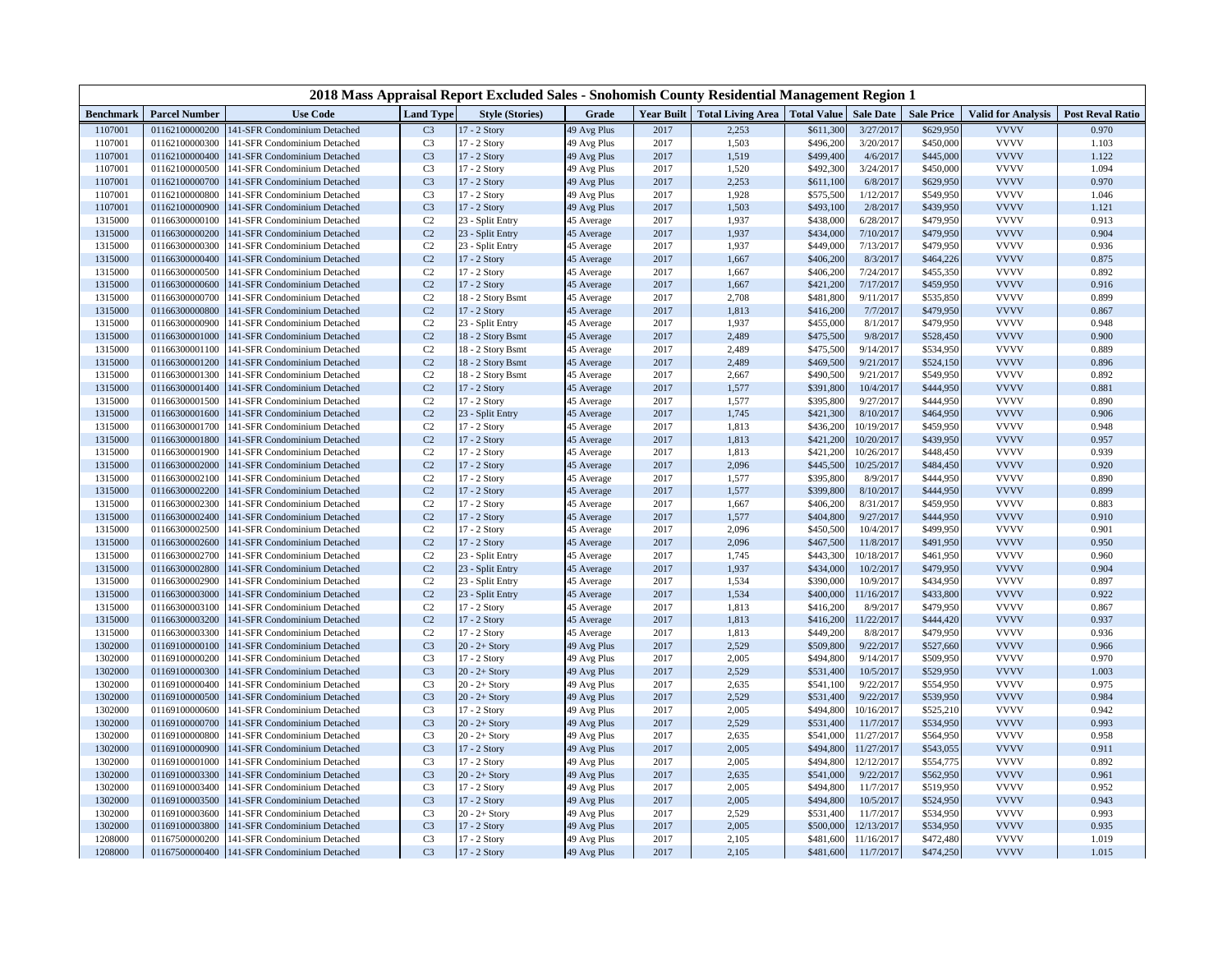| 2018 Mass Appraisal Report Excluded Sales - Snohomish County Residential Management Region 1 |                                  |                                                              |                                  |                                   |                          |              |                                              |                        |                        |                        |                            |                         |
|----------------------------------------------------------------------------------------------|----------------------------------|--------------------------------------------------------------|----------------------------------|-----------------------------------|--------------------------|--------------|----------------------------------------------|------------------------|------------------------|------------------------|----------------------------|-------------------------|
| <b>Benchmark</b>                                                                             | <b>Parcel Number</b>             | <b>Use Code</b>                                              | <b>Land Type</b>                 | <b>Style (Stories)</b>            | Grade                    |              | Year Built   Total Living Area   Total Value |                        | <b>Sale Date</b>       | <b>Sale Price</b>      | <b>Valid for Analysis</b>  | <b>Post Reval Ratio</b> |
| 1107001                                                                                      | 01162100000200                   | 141-SFR Condominium Detached                                 | C <sub>3</sub>                   | 17 - 2 Story                      | 49 Avg Plus              | 2017         | 2,253                                        | \$611,300              | 3/27/2017              | \$629,950              | <b>VVVV</b>                | 0.970                   |
| 1107001                                                                                      | 01162100000300                   | 141-SFR Condominium Detached                                 | C <sub>3</sub>                   | 17 - 2 Story                      | 49 Avg Plus              | 2017         | 1,503                                        | \$496,200              | 3/20/2017              | \$450,000              | <b>VVVV</b>                | 1.103                   |
| 1107001                                                                                      | 01162100000400                   | 141-SFR Condominium Detached                                 | C <sub>3</sub>                   | 17 - 2 Story                      | 49 Avg Plus              | 2017         | 1,519                                        | \$499,400              | 4/6/2017               | \$445,000              | <b>VVVV</b>                | 1.122                   |
| 1107001                                                                                      | 01162100000500                   | 141-SFR Condominium Detached                                 | C <sub>3</sub>                   | 17 - 2 Story                      | 49 Avg Plus              | 2017         | 1,520                                        | \$492,300              | 3/24/2017              | \$450,000              | <b>VVVV</b>                | 1.094                   |
| 1107001                                                                                      | 01162100000700                   | 141-SFR Condominium Detached                                 | C <sub>3</sub>                   | 17 - 2 Story                      | 49 Avg Plus              | 2017         | 2,253                                        | \$611,100              | 6/8/2017               | \$629,950              | <b>VVVV</b>                | 0.970                   |
| 1107001                                                                                      | 01162100000800                   | 141-SFR Condominium Detached                                 | C <sub>3</sub>                   | 17 - 2 Story                      | 49 Avg Plus              | 2017         | 1,928                                        | \$575,500              | 1/12/2017              | \$549,950              | <b>VVVV</b>                | 1.046                   |
| 1107001                                                                                      | 01162100000900                   | 141-SFR Condominium Detached                                 | C <sub>3</sub>                   | 17 - 2 Story                      | 49 Avg Plus              | 2017         | 1,503                                        | \$493,100              | 2/8/2017               | \$439,950              | <b>VVVV</b>                | 1.121                   |
| 1315000                                                                                      | 01166300000100                   | 141-SFR Condominium Detached                                 | C <sub>2</sub>                   | 23 - Split Entry                  | 45 Average               | 2017         | 1,937                                        | \$438,000              | 6/28/2017              | \$479,950              | <b>VVVV</b>                | 0.913                   |
| 1315000                                                                                      | 01166300000200                   | 141-SFR Condominium Detached                                 | C <sub>2</sub>                   | 23 - Split Entry                  | 45 Average               | 2017         | 1,937                                        | \$434,000              | 7/10/2017              | \$479,950              | <b>VVVV</b>                | 0.904                   |
| 1315000                                                                                      | 01166300000300                   | 141-SFR Condominium Detached                                 | C <sub>2</sub>                   | 23 - Split Entry                  | 45 Average               | 2017         | 1,937                                        | \$449,000              | 7/13/2017              | \$479,950              | <b>VVVV</b>                | 0.936                   |
| 1315000                                                                                      | 01166300000400                   | 141-SFR Condominium Detached                                 | C <sub>2</sub>                   | 17 - 2 Story                      | 45 Average               | 2017         | 1,667                                        | \$406,200              | 8/3/2017               | \$464,226              | <b>VVVV</b>                | 0.875                   |
| 1315000                                                                                      | 01166300000500                   | 141-SFR Condominium Detached                                 | C <sub>2</sub>                   | 17 - 2 Story                      | 45 Average               | 2017         | 1,667                                        | \$406,200              | 7/24/2017              | \$455,350              | <b>VVVV</b>                | 0.892                   |
| 1315000                                                                                      | 01166300000600                   | 141-SFR Condominium Detached                                 | C <sub>2</sub>                   | 17 - 2 Story                      | 45 Average               | 2017         | 1,667                                        | \$421,200              | 7/17/2017              | \$459,950              | <b>VVVV</b>                | 0.916                   |
| 1315000                                                                                      | 01166300000700                   | 141-SFR Condominium Detached                                 | C <sub>2</sub>                   | 18 - 2 Story Bsmt                 | 45 Average               | 2017         | 2,708                                        | \$481,800              | 9/11/2017              | \$535,850              | <b>VVVV</b>                | 0.899                   |
| 1315000                                                                                      | 01166300000800                   | 141-SFR Condominium Detached                                 | C <sub>2</sub>                   | 17 - 2 Story                      | 45 Average               | 2017         | 1,813                                        | \$416,200              | 7/7/2017               | \$479,950              | <b>VVVV</b>                | 0.867                   |
| 1315000                                                                                      | 01166300000900                   | 141-SFR Condominium Detached                                 | C <sub>2</sub>                   | 23 - Split Entry                  | 45 Average               | 2017         | 1,937                                        | \$455,000              | 8/1/2017               | \$479,950              | <b>VVVV</b>                | 0.948                   |
| 1315000                                                                                      | 01166300001000                   | 141-SFR Condominium Detached                                 | C <sub>2</sub>                   | 18 - 2 Story Bsmt                 | 45 Average               | 2017         | 2,489                                        | \$475,500              | 9/8/2017               | \$528,450              | <b>VVVV</b>                | 0.900                   |
| 1315000                                                                                      | 01166300001100                   | 141-SFR Condominium Detached                                 | C <sub>2</sub><br>C <sub>2</sub> | 18 - 2 Story Bsmt                 | 45 Average               | 2017         | 2,489                                        | \$475,500              | 9/14/2017              | \$534,950              | <b>VVVV</b><br><b>VVVV</b> | 0.889                   |
| 1315000                                                                                      | 01166300001200                   | 141-SFR Condominium Detached                                 |                                  | 18 - 2 Story Bsmt                 | 45 Average               | 2017         | 2,489                                        | \$469,500              | 9/21/2017              | \$524,150              | <b>VVVV</b>                | 0.896                   |
| 1315000                                                                                      | 01166300001300<br>01166300001400 | 141-SFR Condominium Detached<br>141-SFR Condominium Detached | C <sub>2</sub><br>C <sub>2</sub> | 18 - 2 Story Bsmt<br>17 - 2 Story | 45 Average               | 2017<br>2017 | 2,667                                        | \$490,500<br>\$391,800 | 9/21/2017<br>10/4/2017 | \$549,950              | <b>VVVV</b>                | 0.892<br>0.881          |
| 1315000<br>1315000                                                                           | 01166300001500                   | 141-SFR Condominium Detached                                 | C <sub>2</sub>                   | 17 - 2 Story                      | 45 Average<br>45 Average | 2017         | 1,577<br>1,577                               | \$395,800              | 9/27/2017              | \$444,950<br>\$444,950 | <b>VVVV</b>                | 0.890                   |
| 1315000                                                                                      | 01166300001600                   | 141-SFR Condominium Detached                                 | C <sub>2</sub>                   | 23 - Split Entry                  | 45 Average               | 2017         | 1,745                                        | \$421,300              | 8/10/2017              | \$464,950              | <b>VVVV</b>                | 0.906                   |
| 1315000                                                                                      | 01166300001700                   | 141-SFR Condominium Detached                                 | C <sub>2</sub>                   | 17 - 2 Story                      | 45 Average               | 2017         | 1,813                                        | \$436,200              | 10/19/2017             | \$459,950              | <b>VVVV</b>                | 0.948                   |
| 1315000                                                                                      | 01166300001800                   | 141-SFR Condominium Detached                                 | C <sub>2</sub>                   | 17 - 2 Story                      | 45 Average               | 2017         | 1,813                                        | \$421,200              | 10/20/2017             | \$439,950              | <b>VVVV</b>                | 0.957                   |
| 1315000                                                                                      | 01166300001900                   | 141-SFR Condominium Detached                                 | C <sub>2</sub>                   | 17 - 2 Story                      | 45 Average               | 2017         | 1,813                                        | \$421,200              | 10/26/2017             | \$448,450              | <b>VVVV</b>                | 0.939                   |
| 1315000                                                                                      | 01166300002000                   | 141-SFR Condominium Detached                                 | C <sub>2</sub>                   | 17 - 2 Story                      | 45 Average               | 2017         | 2,096                                        | \$445,500              | 10/25/2017             | \$484,450              | <b>VVVV</b>                | 0.920                   |
| 1315000                                                                                      | 01166300002100                   | 141-SFR Condominium Detached                                 | C <sub>2</sub>                   | 17 - 2 Story                      | 45 Average               | 2017         | 1,577                                        | \$395,800              | 8/9/2017               | \$444,950              | <b>VVVV</b>                | 0.890                   |
| 1315000                                                                                      | 01166300002200                   | 141-SFR Condominium Detached                                 | C <sub>2</sub>                   | 17 - 2 Story                      | 45 Average               | 2017         | 1,577                                        | \$399,800              | 8/10/2017              | \$444,950              | <b>VVVV</b>                | 0.899                   |
| 1315000                                                                                      | 01166300002300                   | 141-SFR Condominium Detached                                 | C <sub>2</sub>                   | 17 - 2 Story                      | 45 Average               | 2017         | 1,667                                        | \$406,200              | 8/31/2017              | \$459,950              | <b>VVVV</b>                | 0.883                   |
| 1315000                                                                                      | 01166300002400                   | 141-SFR Condominium Detached                                 | C <sub>2</sub>                   | 17 - 2 Story                      | 45 Average               | 2017         | 1,577                                        | \$404,800              | 9/27/2017              | \$444,950              | <b>VVVV</b>                | 0.910                   |
| 1315000                                                                                      | 01166300002500                   | 141-SFR Condominium Detached                                 | C <sub>2</sub>                   | 17 - 2 Story                      | 45 Average               | 2017         | 2,096                                        | \$450,500              | 10/4/2017              | \$499,950              | <b>VVVV</b>                | 0.901                   |
| 1315000                                                                                      | 01166300002600                   | 141-SFR Condominium Detached                                 | C <sub>2</sub>                   | 17 - 2 Story                      | 45 Average               | 2017         | 2,096                                        | \$467,500              | 11/8/2017              | \$491,950              | <b>VVVV</b>                | 0.950                   |
| 1315000                                                                                      | 01166300002700                   | 141-SFR Condominium Detached                                 | C <sub>2</sub>                   | 23 - Split Entry                  | 45 Average               | 2017         | 1,745                                        | \$443,300              | 10/18/2017             | \$461,950              | <b>VVVV</b>                | 0.960                   |
| 1315000                                                                                      | 01166300002800                   | 141-SFR Condominium Detached                                 | C <sub>2</sub>                   | 23 - Split Entry                  | 45 Average               | 2017         | 1,937                                        | \$434,000              | 10/2/2017              | \$479,950              | <b>VVVV</b>                | 0.904                   |
| 1315000                                                                                      | 01166300002900                   | 141-SFR Condominium Detached                                 | C <sub>2</sub>                   | 23 - Split Entry                  | 45 Average               | 2017         | 1,534                                        | \$390,000              | 10/9/2017              | \$434,950              | <b>VVVV</b>                | 0.897                   |
| 1315000                                                                                      | 01166300003000                   | 141-SFR Condominium Detached                                 | C <sub>2</sub>                   | 23 - Split Entry                  | 45 Average               | 2017         | 1,534                                        | \$400,000              | 11/16/2017             | \$433,800              | <b>VVVV</b>                | 0.922                   |
| 1315000                                                                                      | 01166300003100                   | 141-SFR Condominium Detached                                 | C <sub>2</sub>                   | 17 - 2 Story                      | 45 Average               | 2017         | 1,813                                        | \$416,200              | 8/9/2017               | \$479,950              | <b>VVVV</b>                | 0.867                   |
| 1315000                                                                                      | 01166300003200                   | 141-SFR Condominium Detached                                 | C <sub>2</sub>                   | 17 - 2 Story                      | 45 Average               | 2017         | 1,813                                        | \$416,200              | 11/22/2017             | \$444,420              | <b>VVVV</b>                | 0.937                   |
| 1315000                                                                                      | 01166300003300                   | 141-SFR Condominium Detached                                 | C <sub>2</sub>                   | 17 - 2 Story                      | 45 Average               | 2017         | 1,813                                        | \$449,200              | 8/8/2017               | \$479,950              | <b>VVVV</b>                | 0.936                   |
| 1302000                                                                                      | 01169100000100                   | 141-SFR Condominium Detached                                 | C <sub>3</sub>                   | $20 - 2 +$ Story                  | 49 Avg Plus              | 2017         | 2,529                                        | \$509,800              | 9/22/2017              | \$527,660              | <b>VVVV</b>                | 0.966                   |
| 1302000                                                                                      | 01169100000200                   | 141-SFR Condominium Detached                                 | C <sub>3</sub>                   | 17 - 2 Story                      | 49 Avg Plus              | 2017         | 2,005                                        | \$494,800              | 9/14/201               | \$509,950              | <b>VVVV</b>                | 0.970                   |
| 1302000                                                                                      | 01169100000300                   | 141-SFR Condominium Detached                                 | C <sub>3</sub>                   | $20 - 2 +$ Story                  | 49 Avg Plus              | 2017         | 2,529                                        | \$531,400              | 10/5/2017              | \$529,950              | <b>VVVV</b>                | 1.003                   |
| 1302000                                                                                      | 01169100000400                   | 141-SFR Condominium Detached                                 | C <sub>3</sub>                   | $20 - 2 +$ Story                  | 49 Avg Plus              | 2017         | 2,635                                        | \$541,100              | 9/22/2017              | \$554,950              | <b>VVVV</b>                | 0.975                   |
| 1302000                                                                                      | 01169100000500                   | 141-SFR Condominium Detached                                 | C <sub>3</sub>                   | $20 - 2 +$ Story                  | 49 Avg Plus              | 2017         | 2,529                                        | \$531,400              | 9/22/2017              | \$539,950              | <b>VVVV</b>                | 0.984                   |
| 1302000                                                                                      | 01169100000600                   | 141-SFR Condominium Detached                                 | C <sub>3</sub>                   | 17 - 2 Story                      | 49 Avg Plus              | 2017         | 2,005                                        | \$494,800              | 10/16/2017             | \$525,210              | <b>VVVV</b>                | 0.942                   |
| 1302000                                                                                      | 01169100000700                   | 141-SFR Condominium Detached                                 | C <sub>3</sub>                   | $20 - 2 +$ Story                  | 49 Avg Plus              | 2017         | 2,529                                        | \$531,400              | 11/7/2017              | \$534,950              | <b>VVVV</b>                | 0.993                   |
| 1302000                                                                                      | 01169100000800                   | 141-SFR Condominium Detached                                 | C <sub>3</sub>                   | $20 - 2 + Story$                  | 49 Avg Plus              | 2017         | 2,635                                        | \$541,000              | 11/27/2017             | \$564,950              | <b>VVVV</b>                | 0.958                   |
| 1302000                                                                                      | 01169100000900                   | 141-SFR Condominium Detached                                 | C <sub>3</sub>                   | 17 - 2 Story                      | 49 Avg Plus              | 2017         | 2,005                                        | \$494,800              | 11/27/2017             | \$543,055              | <b>VVVV</b>                | 0.911                   |
| 1302000                                                                                      | 01169100001000                   | 141-SFR Condominium Detached                                 | C <sub>3</sub>                   | 17 - 2 Story                      | 49 Avg Plus              | 2017         | 2,005                                        | \$494,800              | 12/12/2017             | \$554,775              | <b>VVVV</b>                | 0.892                   |
| 1302000                                                                                      | 01169100003300                   | 141-SFR Condominium Detached                                 | C <sub>3</sub>                   | $20 - 2 +$ Story                  | 49 Avg Plus              | 2017         | 2,635                                        | \$541,000              | 9/22/2017              | \$562,950              | <b>VVVV</b>                | 0.961                   |
| 1302000                                                                                      | 01169100003400                   | 141-SFR Condominium Detached                                 | C <sub>3</sub>                   | 17 - 2 Story                      | 49 Avg Plus              | 2017         | 2,005                                        | \$494,800              | 11/7/2017              | \$519,950              | <b>VVVV</b>                | 0.952                   |
| 1302000                                                                                      | 01169100003500                   | 141-SFR Condominium Detached                                 | C <sub>3</sub>                   | 17 - 2 Story                      | 49 Avg Plus              | 2017         | 2,005                                        | \$494,800              | 10/5/2017              | \$524,950              | <b>VVVV</b>                | 0.943                   |
| 1302000                                                                                      | 01169100003600                   | 141-SFR Condominium Detached                                 | C <sub>3</sub>                   | $20 - 2 +$ Story                  | 49 Avg Plus              | 2017         | 2,529                                        | \$531,400              | 11/7/2017              | \$534,950              | <b>VVVV</b>                | 0.993                   |
| 1302000                                                                                      | 01169100003800                   | 141-SFR Condominium Detached                                 | C <sub>3</sub>                   | 17 - 2 Story                      | 49 Avg Plus              | 2017         | 2,005                                        | \$500,000              | 12/13/2017             | \$534,950              | <b>VVVV</b>                | 0.935                   |
| 1208000                                                                                      | 01167500000200                   | 141-SFR Condominium Detached                                 | C <sub>3</sub>                   | 17 - 2 Story                      | 49 Avg Plus              | 2017         | 2,105                                        | \$481,600              | 11/16/2017             | \$472,480              | <b>VVVV</b>                | 1.019                   |
| 1208000                                                                                      | 01167500000400                   | 141-SFR Condominium Detached                                 | C <sub>3</sub>                   | 17 - 2 Story                      | 49 Avg Plus              | 2017         | 2,105                                        | \$481,600              | 11/7/2017              | \$474,250              | <b>VVVV</b>                | 1.015                   |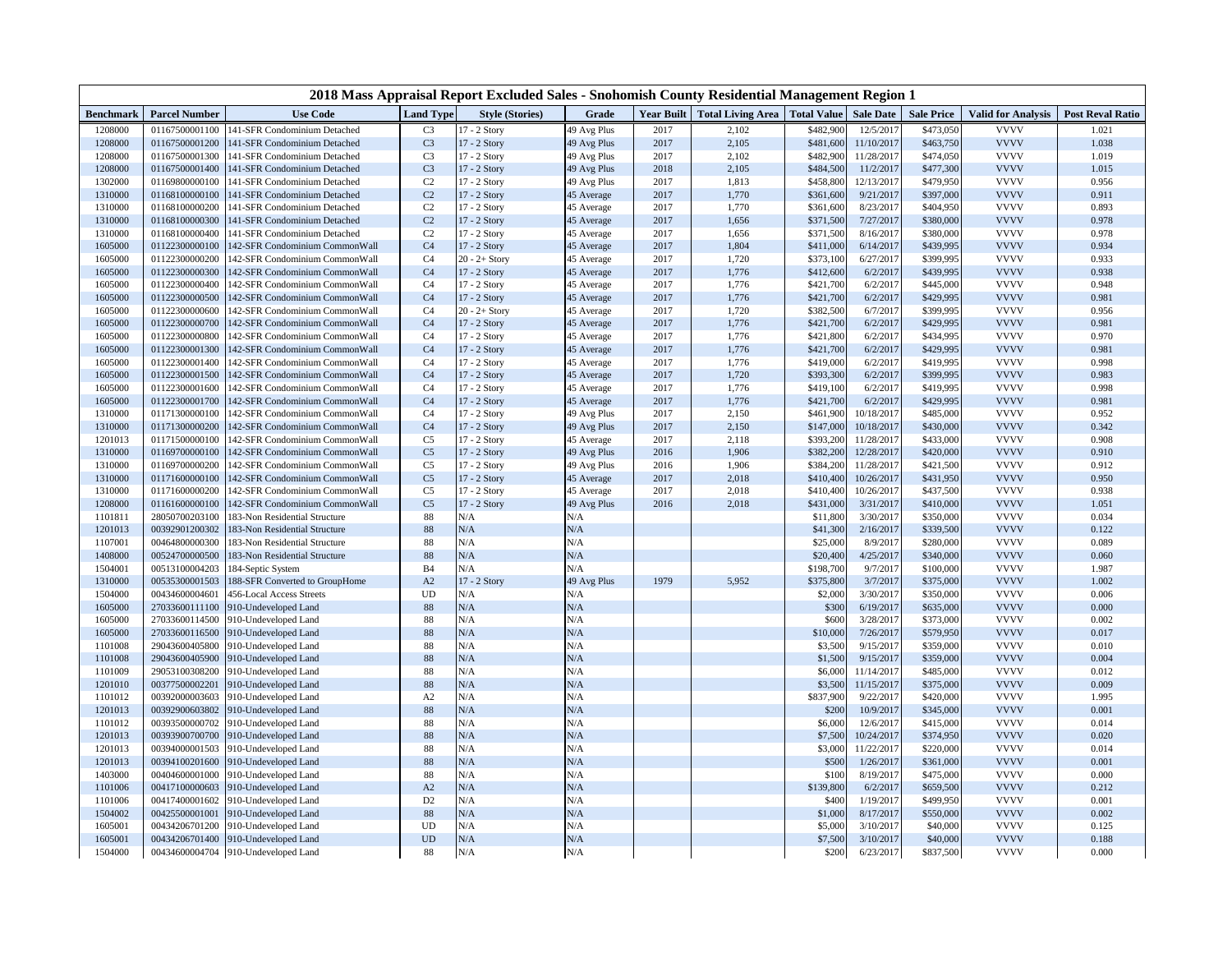| 2018 Mass Appraisal Report Excluded Sales - Snohomish County Residential Management Region 1 |                                  |                                                                  |                                  |                                  |                          |              |                                              |                        |                        |                        |                            |                         |
|----------------------------------------------------------------------------------------------|----------------------------------|------------------------------------------------------------------|----------------------------------|----------------------------------|--------------------------|--------------|----------------------------------------------|------------------------|------------------------|------------------------|----------------------------|-------------------------|
| <b>Benchmark</b>                                                                             | <b>Parcel Number</b>             | <b>Use Code</b>                                                  | <b>Land Type</b>                 | <b>Style (Stories)</b>           | Grade                    |              | Year Built   Total Living Area   Total Value |                        | <b>Sale Date</b>       | <b>Sale Price</b>      | <b>Valid for Analysis</b>  | <b>Post Reval Ratio</b> |
| 1208000                                                                                      | 01167500001100                   | 141-SFR Condominium Detached                                     | C <sub>3</sub>                   | 17 - 2 Story                     | 49 Avg Plus              | 2017         | 2,102                                        | \$482,900              | 12/5/2017              | \$473,050              | <b>VVVV</b>                | 1.021                   |
| 1208000                                                                                      | 01167500001200                   | 141-SFR Condominium Detached                                     | C <sub>3</sub>                   | 17 - 2 Story                     | 49 Avg Plus              | 2017         | 2,105                                        | \$481,600              | 11/10/2017             | \$463,750              | <b>VVVV</b>                | 1.038                   |
| 1208000                                                                                      | 01167500001300                   | 141-SFR Condominium Detached                                     | C <sub>3</sub>                   | 17 - 2 Story                     | 49 Avg Plus              | 2017         | 2,102                                        | \$482,900              | 11/28/2017             | \$474,050              | <b>VVVV</b>                | 1.019                   |
| 1208000                                                                                      | 01167500001400                   | 141-SFR Condominium Detached                                     | C <sub>3</sub>                   | 17 - 2 Story                     | 49 Avg Plus              | 2018         | 2,105                                        | \$484,500              | 11/2/2017              | \$477,300              | <b>VVVV</b>                | 1.015                   |
| 1302000                                                                                      | 01169800000100                   | 141-SFR Condominium Detached                                     | C <sub>2</sub>                   | 17 - 2 Story                     | 49 Avg Plus              | 2017         | 1,813                                        | \$458,800              | 12/13/2017             | \$479,950              | <b>VVVV</b>                | 0.956                   |
| 1310000                                                                                      | 01168100000100                   | 141-SFR Condominium Detached                                     | C <sub>2</sub>                   | 17 - 2 Story                     | 45 Average               | 2017         | 1,770                                        | \$361,600              | 9/21/2017              | \$397,000              | <b>VVVV</b>                | 0.911                   |
| 1310000                                                                                      | 01168100000200                   | 141-SFR Condominium Detached                                     | C <sub>2</sub>                   | 17 - 2 Story                     | 45 Average               | 2017         | 1,770                                        | \$361,600              | 8/23/2017              | \$404,950              | <b>VVVV</b>                | 0.893                   |
| 1310000                                                                                      | 01168100000300                   | 141-SFR Condominium Detached                                     | C <sub>2</sub>                   | 17 - 2 Story                     | 45 Average               | 2017         | 1,656                                        | \$371,500              | 7/27/2017              | \$380,000              | <b>VVVV</b>                | 0.978                   |
| 1310000                                                                                      | 01168100000400                   | 141-SFR Condominium Detached                                     | C <sub>2</sub>                   | 17 - 2 Story                     | 45 Average               | 2017         | 1,656                                        | \$371,500              | 8/16/2017              | \$380,000              | <b>VVVV</b><br><b>VVVV</b> | 0.978                   |
| 1605000                                                                                      | 01122300000100<br>01122300000200 | 142-SFR Condominium CommonWall                                   | C <sub>4</sub><br>C <sub>4</sub> | 17 - 2 Story                     | 45 Average               | 2017<br>2017 | 1,804                                        | \$411,000              | 6/14/2017              | \$439,995<br>\$399,995 | <b>VVVV</b>                | 0.934<br>0.933          |
| 1605000<br>1605000                                                                           | 01122300000300                   | 142-SFR Condominium CommonWall<br>142-SFR Condominium CommonWall | C <sub>4</sub>                   | $20 - 2 +$ Story<br>17 - 2 Story | 45 Average<br>45 Average | 2017         | 1,720<br>1,776                               | \$373,100<br>\$412,600 | 6/27/2017<br>6/2/2017  | \$439,995              | <b>VVVV</b>                | 0.938                   |
| 1605000                                                                                      | 01122300000400                   | 142-SFR Condominium CommonWall                                   | C <sub>4</sub>                   | 17 - 2 Story                     | 45 Average               | 2017         | 1,776                                        | \$421,700              | 6/2/2017               | \$445,000              | <b>VVVV</b>                | 0.948                   |
| 1605000                                                                                      | 01122300000500                   | 142-SFR Condominium CommonWall                                   | C <sub>4</sub>                   | 17 - 2 Story                     | 45 Average               | 2017         | 1,776                                        | \$421,700              | 6/2/2017               | \$429,995              | <b>VVVV</b>                | 0.981                   |
| 1605000                                                                                      | 01122300000600                   | 142-SFR Condominium CommonWall                                   | C <sub>4</sub>                   | $20 - 2 +$ Story                 | 45 Average               | 2017         | 1,720                                        | \$382,500              | 6/7/2017               | \$399,995              | <b>VVVV</b>                | 0.956                   |
| 1605000                                                                                      | 01122300000700                   | 142-SFR Condominium CommonWall                                   | C <sub>4</sub>                   | 17 - 2 Story                     | 45 Average               | 2017         | 1,776                                        | \$421,700              | 6/2/2017               | \$429,995              | <b>VVVV</b>                | 0.981                   |
| 1605000                                                                                      | 01122300000800                   | 142-SFR Condominium CommonWall                                   | C <sub>4</sub>                   | 17 - 2 Story                     | 45 Average               | 2017         | 1,776                                        | \$421,800              | 6/2/2017               | \$434,995              | <b>VVVV</b>                | 0.970                   |
| 1605000                                                                                      | 01122300001300                   | 142-SFR Condominium CommonWall                                   | C <sub>4</sub>                   | 17 - 2 Story                     | 45 Average               | 2017         | 1,776                                        | \$421,700              | 6/2/2017               | \$429,995              | <b>VVVV</b>                | 0.981                   |
| 1605000                                                                                      | 01122300001400                   | 142-SFR Condominium CommonWall                                   | C <sub>4</sub>                   | 17 - 2 Story                     | 45 Average               | 2017         | 1,776                                        | \$419,000              | 6/2/2017               | \$419,995              | <b>VVVV</b>                | 0.998                   |
| 1605000                                                                                      | 01122300001500                   | 142-SFR Condominium CommonWall                                   | C <sub>4</sub>                   | 17 - 2 Story                     | 45 Average               | 2017         | 1,720                                        | \$393,300              | 6/2/2017               | \$399,995              | <b>VVVV</b>                | 0.983                   |
| 1605000                                                                                      | 01122300001600                   | 142-SFR Condominium CommonWall                                   | C <sub>4</sub>                   | 17 - 2 Story                     | 45 Average               | 2017         | 1,776                                        | \$419,100              | 6/2/2017               | \$419,995              | <b>VVVV</b>                | 0.998                   |
| 1605000                                                                                      | 01122300001700                   | 142-SFR Condominium CommonWall                                   | C <sub>4</sub>                   | 17 - 2 Story                     | 45 Average               | 2017         | 1,776                                        | \$421,700              | 6/2/2017               | \$429,995              | <b>VVVV</b>                | 0.981                   |
| 1310000                                                                                      | 01171300000100                   | 142-SFR Condominium CommonWall                                   | C <sub>4</sub>                   | 17 - 2 Story                     | 49 Avg Plus              | 2017         | 2,150                                        | \$461,900              | 10/18/2017             | \$485,000              | <b>VVVV</b>                | 0.952                   |
| 1310000                                                                                      | 01171300000200                   | 142-SFR Condominium CommonWall                                   | C <sub>4</sub>                   | 17 - 2 Story                     | 49 Avg Plus              | 2017         | 2,150                                        | \$147,000              | 10/18/2017             | \$430,000              | <b>VVVV</b>                | 0.342                   |
| 1201013                                                                                      | 01171500000100                   | 142-SFR Condominium CommonWall                                   | C <sub>5</sub>                   | 17 - 2 Story                     | 45 Average               | 2017         | 2,118                                        | \$393,200              | 11/28/2017             | \$433,000              | <b>VVVV</b>                | 0.908                   |
| 1310000                                                                                      | 01169700000100                   | 142-SFR Condominium CommonWall                                   | C <sub>5</sub>                   | 17 - 2 Story                     | 49 Avg Plus              | 2016         | 1,906                                        | \$382,200              | 12/28/2017             | \$420,000              | <b>VVVV</b>                | 0.910                   |
| 1310000                                                                                      | 01169700000200                   | 142-SFR Condominium CommonWall                                   | C <sub>5</sub>                   | 17 - 2 Story                     | 49 Avg Plus              | 2016         | 1,906                                        | \$384,200              | 11/28/2017             | \$421,500              | <b>VVVV</b>                | 0.912                   |
| 1310000                                                                                      | 01171600000100                   | 142-SFR Condominium CommonWall                                   | C <sub>5</sub>                   | 17 - 2 Story                     | 45 Average               | 2017         | 2,018                                        | \$410,400              | 10/26/2017             | \$431,950              | <b>VVVV</b>                | 0.950                   |
| 1310000                                                                                      | 01171600000200                   | 142-SFR Condominium CommonWall                                   | C <sub>5</sub>                   | 17 - 2 Story                     | 45 Average               | 2017         | 2,018                                        | \$410,400              | 10/26/2017             | \$437,500              | <b>VVVV</b>                | 0.938                   |
| 1208000                                                                                      | 01161600000100                   | 142-SFR Condominium CommonWall                                   | C <sub>5</sub>                   | 17 - 2 Story                     | 49 Avg Plus              | 2016         | 2,018                                        | \$431,000              | 3/31/2017              | \$410,000              | <b>VVVV</b>                | 1.051                   |
| 1101811                                                                                      | 28050700203100                   | 183-Non Residential Structure                                    | 88                               | N/A                              | N/A                      |              |                                              | \$11,800               | 3/30/2017              | \$350,000              | <b>VVVV</b>                | 0.034                   |
| 1201013                                                                                      | 00392901200302                   | 183-Non Residential Structure                                    | 88                               | N/A                              | N/A                      |              |                                              | \$41,300               | 2/16/2017              | \$339,500              | <b>VVVV</b>                | 0.122                   |
| 1107001                                                                                      | 00464800000300                   | 183-Non Residential Structure                                    | 88                               | N/A                              | N/A                      |              |                                              | \$25,000               | 8/9/2017               | \$280,000              | <b>VVVV</b>                | 0.089                   |
| 1408000                                                                                      | 00524700000500                   | 183-Non Residential Structure                                    | 88                               | N/A                              | N/A                      |              |                                              | \$20,400               | 4/25/2017              | \$340,000              | <b>VVVV</b>                | 0.060                   |
| 1504001                                                                                      | 00513100004203                   | 184-Septic System                                                | <b>B</b> 4                       | N/A                              | N/A                      |              |                                              | \$198,700              | 9/7/2017               | \$100,000              | <b>VVVV</b>                | 1.987                   |
| 1310000                                                                                      | 00535300001503                   | 188-SFR Converted to GroupHome                                   | A2                               | 17 - 2 Story                     | 49 Avg Plus              | 1979         | 5,952                                        | \$375,800              | 3/7/2017               | \$375,000              | <b>VVVV</b>                | 1.002                   |
| 1504000                                                                                      | 00434600004601                   | <b>456-Local Access Streets</b>                                  | UD                               | N/A                              | N/A                      |              |                                              | \$2,000                | 3/30/2017              | \$350,000              | <b>VVVV</b>                | 0.006                   |
| 1605000                                                                                      | 27033600111100                   | 910-Undeveloped Land                                             | 88                               | N/A                              | N/A                      |              |                                              | \$300                  | 6/19/2017              | \$635,000              | <b>VVVV</b><br><b>VVVV</b> | 0.000                   |
| 1605000<br>1605000                                                                           | 27033600114500<br>27033600116500 | 910-Undeveloped Land                                             | 88<br>88                         | N/A<br>N/A                       | N/A<br>N/A               |              |                                              | \$600<br>\$10,000      | 3/28/2017<br>7/26/2017 | \$373,000<br>\$579,950 | <b>VVVV</b>                | 0.002<br>0.017          |
| 1101008                                                                                      | 29043600405800                   | 910-Undeveloped Land<br>910-Undeveloped Land                     | 88                               | N/A                              | N/A                      |              |                                              | \$3,500                | 9/15/2017              | \$359,000              | <b>VVVV</b>                | 0.010                   |
| 1101008                                                                                      | 29043600405900                   | 910-Undeveloped Land                                             | 88                               | N/A                              | N/A                      |              |                                              | \$1,500                | 9/15/2017              | \$359,000              | <b>VVVV</b>                | 0.004                   |
| 1101009                                                                                      | 29053100308200                   | 910-Undeveloped Land                                             | 88                               | N/A                              | N/A                      |              |                                              | \$6,000                | 11/14/2017             | \$485,000              | <b>VVVV</b>                | 0.012                   |
| 1201010                                                                                      | 00377500002201                   | 910-Undeveloped Land                                             | 88                               | N/A                              | N/A                      |              |                                              | \$3,500                | 11/15/2017             | \$375,000              | <b>VVVV</b>                | 0.009                   |
| 1101012                                                                                      | 00392000003603                   | 910-Undeveloped Land                                             | A2                               | N/A                              | N/A                      |              |                                              | \$837,900              | 9/22/2017              | \$420,000              | <b>VVVV</b>                | 1.995                   |
| 1201013                                                                                      | 00392900603802                   | 910-Undeveloped Land                                             | 88                               | N/A                              | N/A                      |              |                                              | \$200                  | 10/9/2017              | \$345,000              | <b>VVVV</b>                | 0.001                   |
| 1101012                                                                                      | 00393500000702                   | 910-Undeveloped Land                                             | 88                               | N/A                              | N/A                      |              |                                              | \$6,000                | 12/6/2017              | \$415,000              | <b>VVVV</b>                | 0.014                   |
| 1201013                                                                                      | 00393900700700                   | 910-Undeveloped Land                                             | 88                               | N/A                              | N/A                      |              |                                              | \$7,500                | 10/24/2017             | \$374,950              | <b>VVVV</b>                | 0.020                   |
| 1201013                                                                                      | 00394000001503                   | 910-Undeveloped Land                                             | 88                               | N/A                              | N/A                      |              |                                              | \$3,000                | 11/22/2017             | \$220,000              | <b>VVVV</b>                | 0.014                   |
| 1201013                                                                                      | 00394100201600                   | 910-Undeveloped Land                                             | 88                               | N/A                              | N/A                      |              |                                              | \$500                  | 1/26/2017              | \$361,000              | <b>VVVV</b>                | 0.001                   |
| 1403000                                                                                      | 00404600001000                   | 910-Undeveloped Land                                             | 88                               | N/A                              | N/A                      |              |                                              | \$100                  | 8/19/2017              | \$475,000              | <b>VVVV</b>                | 0.000                   |
| 1101006                                                                                      | 00417100000603                   | 910-Undeveloped Land                                             | A2                               | N/A                              | N/A                      |              |                                              | \$139,800              | 6/2/2017               | \$659,500              | <b>VVVV</b>                | 0.212                   |
| 1101006                                                                                      | 00417400001602                   | 910-Undeveloped Land                                             | D2                               | N/A                              | N/A                      |              |                                              | \$400                  | 1/19/2017              | \$499,950              | <b>VVVV</b>                | 0.001                   |
| 1504002                                                                                      | 00425500001001                   | 910-Undeveloped Land                                             | $88\,$                           | N/A                              | N/A                      |              |                                              | \$1,000                | 8/17/2017              | \$550,000              | <b>VVVV</b>                | 0.002                   |
| 1605001                                                                                      | 00434206701200                   | 910-Undeveloped Land                                             | UD                               | N/A                              | N/A                      |              |                                              | \$5,000                | 3/10/2017              | \$40,000               | <b>VVVV</b>                | 0.125                   |
| 1605001                                                                                      | 00434206701400                   | 910-Undeveloped Land                                             | <b>UD</b>                        | N/A                              | N/A                      |              |                                              | \$7,500                | 3/10/2017              | \$40,000               | <b>VVVV</b>                | 0.188                   |
| 1504000                                                                                      | 00434600004704                   | 910-Undeveloped Land                                             | 88                               | N/A                              | N/A                      |              |                                              | \$200                  | 6/23/2017              | \$837,500              | <b>VVVV</b>                | 0.000                   |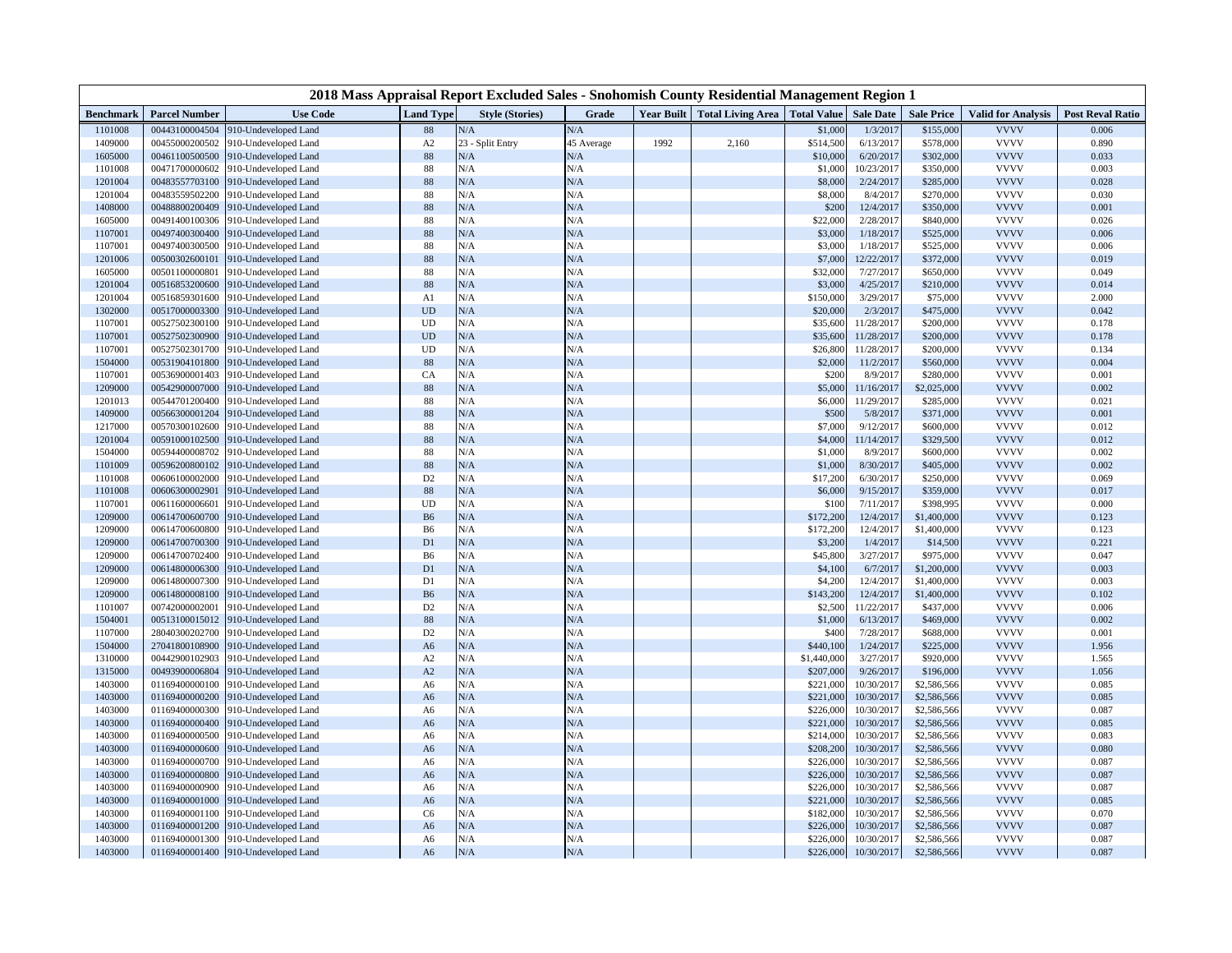| 2018 Mass Appraisal Report Excluded Sales - Snohomish County Residential Management Region 1 |                                  |                                              |                            |                        |            |            |                                             |                      |                        |                        |                            |                         |
|----------------------------------------------------------------------------------------------|----------------------------------|----------------------------------------------|----------------------------|------------------------|------------|------------|---------------------------------------------|----------------------|------------------------|------------------------|----------------------------|-------------------------|
| Benchmark                                                                                    | <b>Parcel Number</b>             | <b>Use Code</b>                              | <b>Land Type</b>           | <b>Style (Stories)</b> | Grade      | Year Built | Total Living Area   Total Value   Sale Date |                      |                        | <b>Sale Price</b>      | <b>Valid for Analysis</b>  | <b>Post Reval Ratio</b> |
| 1101008                                                                                      | 00443100004504                   | 910-Undeveloped Land                         | 88                         | N/A                    | N/A        |            |                                             | \$1,000              | 1/3/2017               | \$155,000              | <b>VVVV</b>                | 0.006                   |
| 1409000                                                                                      | 00455000200502                   | 910-Undeveloped Land                         | $\mathbf{A2}$              | 23 - Split Entry       | 45 Average | 1992       | 2,160                                       | \$514,500            | 6/13/2017              | \$578,000              | <b>VVVV</b>                | 0.890                   |
| 1605000                                                                                      | 00461100500500                   | 910-Undeveloped Land                         | 88                         | N/A                    | N/A        |            |                                             | \$10,000             | 6/20/2017              | \$302,000              | <b>VVVV</b>                | 0.033                   |
| 1101008                                                                                      | 00471700000602                   | 910-Undeveloped Land                         | 88                         | N/A                    | N/A        |            |                                             | \$1,000              | 10/23/2017             | \$350,000              | <b>VVVV</b>                | 0.003                   |
| 1201004                                                                                      | 00483557703100                   | 910-Undeveloped Land                         | 88                         | N/A                    | N/A        |            |                                             | \$8,000              | 2/24/2017              | \$285,000              | <b>VVVV</b>                | 0.028                   |
| 1201004                                                                                      | 00483559502200                   | 910-Undeveloped Land                         | 88                         | N/A                    | N/A        |            |                                             | \$8,000              | 8/4/2017               | \$270,000              | <b>VVVV</b>                | 0.030                   |
| 1408000                                                                                      | 00488800200409<br>00491400100306 | 910-Undeveloped Land                         | 88<br>88                   | N/A<br>N/A             | N/A<br>N/A |            |                                             | \$200<br>\$22,000    | 12/4/2017<br>2/28/2017 | \$350,000<br>\$840,000 | <b>VVVV</b><br><b>VVVV</b> | 0.001<br>0.026          |
| 1605000<br>1107001                                                                           | 00497400300400                   | 910-Undeveloped Land<br>910-Undeveloped Land | 88                         | N/A                    | N/A        |            |                                             | \$3,000              | 1/18/2017              | \$525,000              | <b>VVVV</b>                | 0.006                   |
| 1107001                                                                                      | 00497400300500                   | 910-Undeveloped Land                         | 88                         | N/A                    | N/A        |            |                                             | \$3,000              | 1/18/2017              | \$525,000              | <b>VVVV</b>                | 0.006                   |
| 1201006                                                                                      | 00500302600101                   | 910-Undeveloped Land                         | 88                         | N/A                    | N/A        |            |                                             | \$7,000              | 12/22/2017             | \$372,000              | <b>VVVV</b>                | 0.019                   |
| 1605000                                                                                      | 00501100000801                   | 910-Undeveloped Land                         | 88                         | N/A                    | N/A        |            |                                             | \$32,000             | 7/27/2017              | \$650,000              | <b>VVVV</b>                | 0.049                   |
| 1201004                                                                                      | 00516853200600                   | 910-Undeveloped Land                         | 88                         | N/A                    | N/A        |            |                                             | \$3,000              | 4/25/2017              | \$210,000              | <b>VVVV</b>                | 0.014                   |
| 1201004                                                                                      | 00516859301600                   | 910-Undeveloped Land                         | A <sub>1</sub>             | N/A                    | N/A        |            |                                             | \$150,000            | 3/29/2017              | \$75,000               | <b>VVVV</b>                | 2.000                   |
| 1302000                                                                                      | 00517000003300                   | 910-Undeveloped Land                         | $\ensuremath{\mathrm{UD}}$ | N/A                    | N/A        |            |                                             | \$20,000             | 2/3/2017               | \$475,000              | <b>VVVV</b>                | 0.042                   |
| 1107001                                                                                      | 00527502300100                   | 910-Undeveloped Land                         | <b>UD</b>                  | N/A                    | N/A        |            |                                             | \$35,600             | 11/28/2017             | \$200,000              | <b>VVVV</b>                | 0.178                   |
| 1107001                                                                                      | 00527502300900                   | 910-Undeveloped Land                         | UD                         | N/A                    | N/A        |            |                                             | \$35,600             | 11/28/2017             | \$200,000              | <b>VVVV</b>                | 0.178                   |
| 1107001                                                                                      | 00527502301700                   | 910-Undeveloped Land                         | UD                         | N/A                    | N/A        |            |                                             | \$26,800             | 11/28/2017             | \$200,000              | <b>VVVV</b>                | 0.134                   |
| 1504000                                                                                      | 00531904101800                   | 910-Undeveloped Land                         | 88                         | N/A                    | N/A        |            |                                             | \$2,000              | 11/2/2017              | \$560,000              | <b>VVVV</b>                | 0.004                   |
| 1107001                                                                                      | 00536900001403                   | 910-Undeveloped Land                         | CA                         | N/A                    | N/A        |            |                                             | \$200                | 8/9/2017               | \$280,000              | <b>VVVV</b>                | 0.001                   |
| 1209000                                                                                      | 00542900007000                   | 910-Undeveloped Land                         | 88                         | N/A                    | N/A        |            |                                             | \$5,000              | 11/16/2017             | \$2,025,000            | <b>VVVV</b>                | 0.002                   |
| 1201013                                                                                      | 00544701200400                   | 10-Undeveloped Land                          | 88                         | N/A                    | N/A        |            |                                             | \$6,000              | 11/29/2017             | \$285,000              | <b>VVVV</b>                | 0.021                   |
| 1409000                                                                                      | 00566300001204                   | 910-Undeveloped Land                         | 88                         | N/A                    | N/A        |            |                                             | \$500                | 5/8/2017               | \$371,000              | <b>VVVV</b>                | 0.001                   |
| 1217000                                                                                      | 00570300102600                   | 910-Undeveloped Land                         | 88                         | N/A                    | N/A        |            |                                             | \$7,000              | 9/12/2017              | \$600,000              | <b>VVVV</b>                | 0.012                   |
| 1201004                                                                                      | 00591000102500                   | 910-Undeveloped Land                         | 88                         | N/A                    | N/A        |            |                                             | \$4,000              | 11/14/2017             | \$329,500              | <b>VVVV</b>                | 0.012                   |
| 1504000                                                                                      | 00594400008702                   | 910-Undeveloped Land                         | 88                         | N/A                    | N/A        |            |                                             | \$1,000              | 8/9/2017               | \$600,000              | <b>VVVV</b>                | 0.002                   |
| 1101009                                                                                      | 00596200800102                   | 910-Undeveloped Land                         | 88                         | N/A                    | N/A        |            |                                             | \$1,000              | 8/30/2017              | \$405,000              | <b>VVVV</b>                | 0.002                   |
| 1101008                                                                                      | 00606100002000                   | 910-Undeveloped Land                         | D <sub>2</sub>             | N/A                    | N/A        |            |                                             | \$17,200             | 6/30/2017              | \$250,000              | <b>VVVV</b>                | 0.069                   |
| 1101008                                                                                      | 00606300002901                   | 910-Undeveloped Land                         | 88                         | N/A                    | N/A        |            |                                             | \$6,000              | 9/15/2017              | \$359,000              | <b>VVVV</b>                | 0.017                   |
| 1107001                                                                                      | 00611600006601                   | 910-Undeveloped Land                         | UD                         | N/A                    | N/A        |            |                                             | \$100                | 7/11/2017              | \$398,995              | <b>VVVV</b>                | 0.000                   |
| 1209000                                                                                      | 00614700600700                   | 910-Undeveloped Land                         | ${\bf B6}$                 | N/A                    | N/A        |            |                                             | \$172,200            | 12/4/2017              | \$1,400,000            | <b>VVVV</b>                | 0.123                   |
| 1209000<br>1209000                                                                           | 00614700600800<br>00614700700300 | 910-Undeveloped Land                         | B6<br>D1                   | N/A<br>N/A             | N/A<br>N/A |            |                                             | \$172,200<br>\$3,200 | 12/4/2017<br>1/4/201   | \$1,400,000            | <b>VVVV</b><br><b>VVVV</b> | 0.123<br>0.221          |
| 1209000                                                                                      | 00614700702400                   | 910-Undeveloped Land<br>910-Undeveloped Land | B6                         | N/A                    | N/A        |            |                                             | \$45,800             | 3/27/2017              | \$14,500<br>\$975,000  | <b>VVVV</b>                | 0.047                   |
| 1209000                                                                                      | 00614800006300                   | 910-Undeveloped Land                         | D <sub>1</sub>             | N/A                    | N/A        |            |                                             | \$4,100              | 6/7/2017               | \$1,200,000            | <b>VVVV</b>                | 0.003                   |
| 1209000                                                                                      | 00614800007300                   | 910-Undeveloped Land                         | D1                         | N/A                    | N/A        |            |                                             | \$4,200              | 12/4/2017              | \$1,400,000            | <b>VVVV</b>                | 0.003                   |
| 1209000                                                                                      | 00614800008100                   | 910-Undeveloped Land                         | <b>B6</b>                  | N/A                    | N/A        |            |                                             | \$143,200            | 12/4/2017              | \$1,400,000            | <b>VVVV</b>                | 0.102                   |
| 1101007                                                                                      | 00742000002001                   | 910-Undeveloped Land                         | D <sub>2</sub>             | N/A                    | N/A        |            |                                             | \$2,500              | 11/22/2017             | \$437,000              | <b>VVVV</b>                | 0.006                   |
| 1504001                                                                                      | 00513100015012                   | 910-Undeveloped Land                         | 88                         | N/A                    | N/A        |            |                                             | \$1,000              | 6/13/2017              | \$469,000              | <b>VVVV</b>                | 0.002                   |
| 1107000                                                                                      | 28040300202700                   | 910-Undeveloped Land                         | D <sub>2</sub>             | N/A                    | N/A        |            |                                             | \$400                | 7/28/2017              | \$688,000              | <b>VVVV</b>                | 0.001                   |
| 1504000                                                                                      | 27041800108900                   | 910-Undeveloped Land                         | A <sub>6</sub>             | N/A                    | N/A        |            |                                             | \$440,100            | 1/24/2017              | \$225,000              | <b>VVVV</b>                | 1.956                   |
| 1310000                                                                                      | 00442900102903                   | 910-Undeveloped Land                         | A2                         | N/A                    | N/A        |            |                                             | \$1,440,000          | 3/27/2017              | \$920,000              | <b>VVVV</b>                | 1.565                   |
| 1315000                                                                                      | 00493900006804                   | 910-Undeveloped Land                         | A2                         | N/A                    | N/A        |            |                                             | \$207,000            | 9/26/2017              | \$196,000              | <b>VVVV</b>                | 1.056                   |
| 1403000                                                                                      | 01169400000100                   | 910-Undeveloped Land                         | A6                         | N/A                    | N/A        |            |                                             | \$221,000            | 10/30/2017             | \$2,586,566            | <b>VVVV</b>                | 0.085                   |
| 1403000                                                                                      | 01169400000200                   | 910-Undeveloped Land                         | A6                         | N/A                    | N/A        |            |                                             | \$221,000            | 10/30/2017             | \$2,586,566            | <b>VVVV</b>                | 0.085                   |
| 1403000                                                                                      | 01169400000300                   | 910-Undeveloped Land                         | A6                         | N/A                    | N/A        |            |                                             | \$226,000            | 10/30/2017             | \$2,586,566            | <b>VVVV</b>                | 0.087                   |
| 1403000                                                                                      | 01169400000400                   | 910-Undeveloped Land                         | A <sub>6</sub>             | N/A                    | N/A        |            |                                             | \$221,000            | 10/30/2017             | \$2,586,566            | <b>VVVV</b>                | 0.085                   |
| 1403000                                                                                      | 01169400000500                   | 910-Undeveloped Land                         | A6                         | N/A                    | N/A        |            |                                             | \$214,000            | 10/30/2017             | \$2,586,566            | <b>VVVV</b>                | 0.083                   |
| 1403000                                                                                      | 01169400000600                   | 910-Undeveloped Land                         | A6                         | N/A                    | N/A        |            |                                             | \$208,200            | 10/30/2017             | \$2,586,566            | <b>VVVV</b>                | 0.080                   |
| 1403000                                                                                      | 01169400000700                   | 910-Undeveloped Land                         | A6                         | N/A                    | N/A        |            |                                             | \$226,000            | 10/30/2017             | \$2,586,566            | <b>VVVV</b>                | 0.087                   |
| 1403000                                                                                      | 01169400000800                   | 910-Undeveloped Land                         | A6                         | N/A                    | N/A        |            |                                             | \$226,000            | 10/30/2017             | \$2,586,566            | <b>VVVV</b>                | 0.087                   |
| 1403000                                                                                      | 01169400000900                   | 910-Undeveloped Land                         | A6                         | N/A                    | N/A        |            |                                             | \$226,000            | 10/30/2017             | \$2,586,566            | <b>VVVV</b>                | 0.087                   |
| 1403000                                                                                      | 01169400001000                   | 910-Undeveloped Land                         | A <sub>6</sub>             | N/A                    | N/A        |            |                                             | \$221,000            | 10/30/2017             | \$2,586,566            | <b>VVVV</b>                | 0.085                   |
| 1403000                                                                                      | 01169400001100                   | 910-Undeveloped Land                         | C6                         | N/A                    | N/A        |            |                                             | \$182,000            | 10/30/2017             | \$2,586,566            | <b>VVVV</b>                | 0.070                   |
| 1403000                                                                                      | 01169400001200                   | 910-Undeveloped Land                         | A <sub>6</sub>             | N/A                    | N/A        |            |                                             | \$226,000            | 10/30/2017             | \$2,586,566            | <b>VVVV</b>                | 0.087                   |
| 1403000                                                                                      | 01169400001300                   | 910-Undeveloped Land                         | A6                         | N/A                    | N/A        |            |                                             | \$226,000            | 10/30/2017             | \$2,586,566            | <b>VVVV</b>                | 0.087                   |
| 1403000                                                                                      |                                  | 01169400001400 910-Undeveloped Land          | A6                         | N/A                    | N/A        |            |                                             | \$226,000            | 10/30/2017             | \$2,586,566            | <b>VVVV</b>                | 0.087                   |